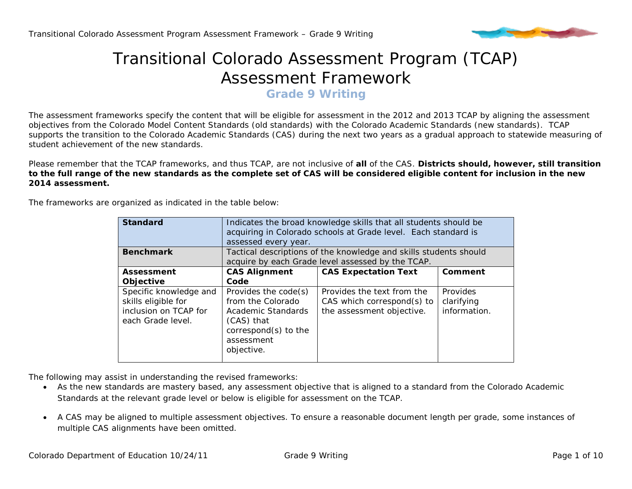

## Transitional Colorado Assessment Program (TCAP) Assessment Framework

**Grade 9 Writing**

The assessment frameworks specify the content that will be eligible for assessment in the 2012 and 2013 TCAP by aligning the assessment objectives from the Colorado Model Content Standards (old standards) with the Colorado Academic Standards (new standards). TCAP supports the transition to the Colorado Academic Standards (CAS) during the next two years as a gradual approach to statewide measuring of student achievement of the new standards.

Please remember that the TCAP frameworks, and thus TCAP, are not inclusive of **all** of the CAS. **Districts should, however, still transition to the full range of the new standards as the complete set of CAS will be considered eligible content for inclusion in the new 2014 assessment.** 

The frameworks are organized as indicated in the table below:

| <b>Standard</b>                                                                             | Indicates the broad knowledge skills that all students should be<br>acquiring in Colorado schools at Grade level. Each standard is<br>assessed every year. |                                                                                       |                                        |  |
|---------------------------------------------------------------------------------------------|------------------------------------------------------------------------------------------------------------------------------------------------------------|---------------------------------------------------------------------------------------|----------------------------------------|--|
| <b>Benchmark</b>                                                                            | Tactical descriptions of the knowledge and skills students should<br>acquire by each Grade level assessed by the TCAP.                                     |                                                                                       |                                        |  |
| <b>Assessment</b><br>Objective                                                              | <b>CAS Alignment</b><br>Code                                                                                                                               | <b>CAS Expectation Text</b>                                                           | Comment                                |  |
| Specific knowledge and<br>skills eligible for<br>inclusion on TCAP for<br>each Grade level. | Provides the code(s)<br>from the Colorado<br>Academic Standards<br>(CAS) that<br>correspond(s) to the<br>assessment<br>objective.                          | Provides the text from the<br>CAS which correspond(s) to<br>the assessment objective. | Provides<br>clarifying<br>information. |  |

The following may assist in understanding the revised frameworks:

- As the new standards are mastery based, any assessment objective that is aligned to a standard from the Colorado Academic Standards at the relevant grade level or below is eligible for assessment on the TCAP.
- A CAS may be aligned to multiple assessment objectives. To ensure a reasonable document length per grade, some instances of multiple CAS alignments have been omitted.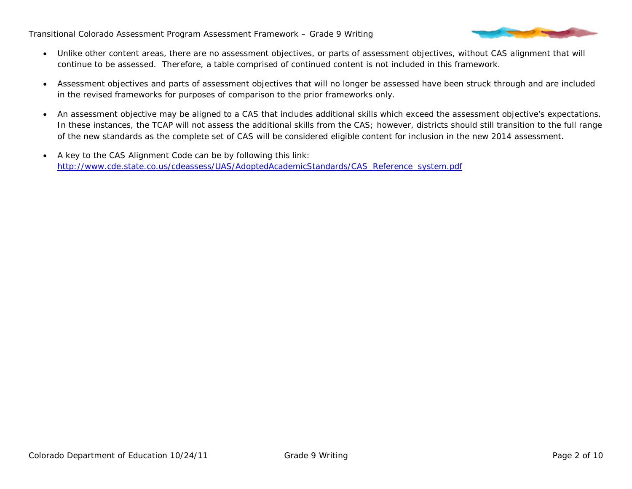

- Unlike other content areas, there are no assessment objectives, or parts of assessment objectives, without CAS alignment that will continue to be assessed. Therefore, a table comprised of continued content is not included in this framework.
- Assessment objectives and parts of assessment objectives that will no longer be assessed have been struck through and are included in the revised frameworks for purposes of comparison to the prior frameworks only.
- An assessment objective may be aligned to a CAS that includes additional skills which exceed the assessment objective's expectations. In these instances, the TCAP will not assess the additional skills from the CAS; however, districts should still transition to the full range of the new standards as the complete set of CAS will be considered eligible content for inclusion in the new 2014 assessment.
- A key to the CAS Alignment Code can be by following this link: [http://www.cde.state.co.us/cdeassess/UAS/AdoptedAcademicStandards/CAS\\_Reference\\_system.pdf](http://www.cde.state.co.us/cdeassess/UAS/AdoptedAcademicStandards/CAS_Reference_system.pdf)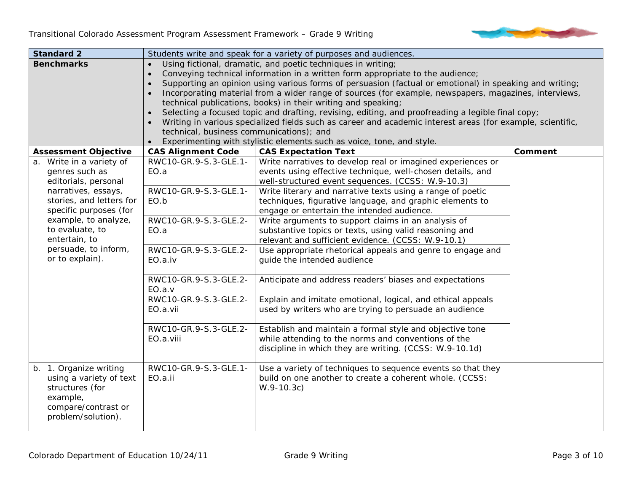

| <b>Standard 2</b>                                                                                                                                                                                                                                         |                                                                                                                                                                                                                                                                                                                                                                                                                                                                                                                                                                                                                                                                                                                                                                             | Students write and speak for a variety of purposes and audiences.                                                                                                                                                                                                                                                                                                                                                                                                                                                                                                                                                                                                                                                                                                                                              |                |
|-----------------------------------------------------------------------------------------------------------------------------------------------------------------------------------------------------------------------------------------------------------|-----------------------------------------------------------------------------------------------------------------------------------------------------------------------------------------------------------------------------------------------------------------------------------------------------------------------------------------------------------------------------------------------------------------------------------------------------------------------------------------------------------------------------------------------------------------------------------------------------------------------------------------------------------------------------------------------------------------------------------------------------------------------------|----------------------------------------------------------------------------------------------------------------------------------------------------------------------------------------------------------------------------------------------------------------------------------------------------------------------------------------------------------------------------------------------------------------------------------------------------------------------------------------------------------------------------------------------------------------------------------------------------------------------------------------------------------------------------------------------------------------------------------------------------------------------------------------------------------------|----------------|
| <b>Benchmarks</b>                                                                                                                                                                                                                                         | Using fictional, dramatic, and poetic techniques in writing;<br>Conveying technical information in a written form appropriate to the audience;<br>Supporting an opinion using various forms of persuasion (factual or emotional) in speaking and writing;<br>Incorporating material from a wider range of sources (for example, newspapers, magazines, interviews,<br>technical publications, books) in their writing and speaking;<br>Selecting a focused topic and drafting, revising, editing, and proofreading a legible final copy;<br>Writing in various specialized fields such as career and academic interest areas (for example, scientific,<br>technical, business communications); and<br>Experimenting with stylistic elements such as voice, tone, and style. |                                                                                                                                                                                                                                                                                                                                                                                                                                                                                                                                                                                                                                                                                                                                                                                                                |                |
| <b>Assessment Objective</b>                                                                                                                                                                                                                               | <b>CAS Alignment Code</b>                                                                                                                                                                                                                                                                                                                                                                                                                                                                                                                                                                                                                                                                                                                                                   | <b>CAS Expectation Text</b>                                                                                                                                                                                                                                                                                                                                                                                                                                                                                                                                                                                                                                                                                                                                                                                    | <b>Comment</b> |
| Write in a variety of<br>a.<br>genres such as<br>editorials, personal<br>narratives, essays,<br>stories, and letters for<br>specific purposes (for<br>example, to analyze,<br>to evaluate, to<br>entertain, to<br>persuade, to inform,<br>or to explain). | RWC10-GR.9-S.3-GLE.1-<br>EO.a<br>RWC10-GR.9-S.3-GLE.1-<br>EO.b<br>RWC10-GR.9-S.3-GLE.2-<br>EO.a<br>RWC10-GR.9-S.3-GLE.2-<br>EO.a.iv<br>RWC10-GR.9-S.3-GLE.2-<br>EO.a.v<br>RWC10-GR.9-S.3-GLE.2-<br>EO.a.vii                                                                                                                                                                                                                                                                                                                                                                                                                                                                                                                                                                 | Write narratives to develop real or imagined experiences or<br>events using effective technique, well-chosen details, and<br>well-structured event sequences. (CCSS: W.9-10.3)<br>Write literary and narrative texts using a range of poetic<br>techniques, figurative language, and graphic elements to<br>engage or entertain the intended audience.<br>Write arguments to support claims in an analysis of<br>substantive topics or texts, using valid reasoning and<br>relevant and sufficient evidence. (CCSS: W.9-10.1)<br>Use appropriate rhetorical appeals and genre to engage and<br>guide the intended audience<br>Anticipate and address readers' biases and expectations<br>Explain and imitate emotional, logical, and ethical appeals<br>used by writers who are trying to persuade an audience |                |
|                                                                                                                                                                                                                                                           | RWC10-GR.9-S.3-GLE.2-<br>EO.a.viii                                                                                                                                                                                                                                                                                                                                                                                                                                                                                                                                                                                                                                                                                                                                          | Establish and maintain a formal style and objective tone<br>while attending to the norms and conventions of the<br>discipline in which they are writing. (CCSS: W.9-10.1d)                                                                                                                                                                                                                                                                                                                                                                                                                                                                                                                                                                                                                                     |                |
| b. 1. Organize writing<br>using a variety of text<br>structures (for<br>example,<br>compare/contrast or<br>problem/solution).                                                                                                                             | RWC10-GR.9-S.3-GLE.1-<br>EO.a.ii                                                                                                                                                                                                                                                                                                                                                                                                                                                                                                                                                                                                                                                                                                                                            | Use a variety of techniques to sequence events so that they<br>build on one another to create a coherent whole. (CCSS:<br>$W.9-10.3c)$                                                                                                                                                                                                                                                                                                                                                                                                                                                                                                                                                                                                                                                                         |                |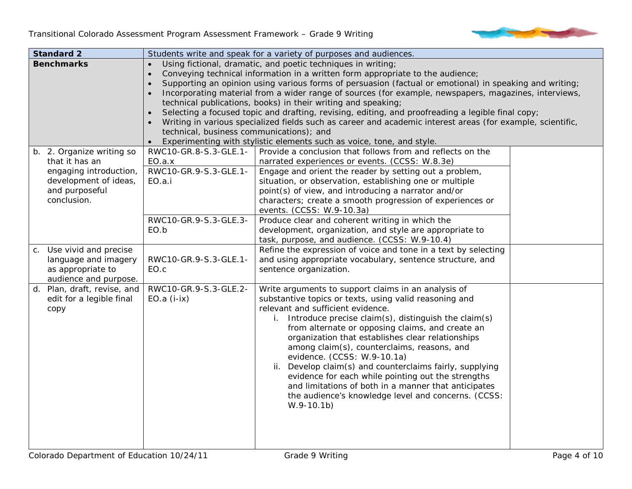

| <b>Standard 2</b>                                                                                                               |                                                                                                                                                                                                                                                                                                                                                                                                                                                                                                                                                                                                                                                                                                                                                                             | Students write and speak for a variety of purposes and audiences.                                                                                                                                                                                                                                                                                                                                                                                                                                                                                                                                                                                           |  |
|---------------------------------------------------------------------------------------------------------------------------------|-----------------------------------------------------------------------------------------------------------------------------------------------------------------------------------------------------------------------------------------------------------------------------------------------------------------------------------------------------------------------------------------------------------------------------------------------------------------------------------------------------------------------------------------------------------------------------------------------------------------------------------------------------------------------------------------------------------------------------------------------------------------------------|-------------------------------------------------------------------------------------------------------------------------------------------------------------------------------------------------------------------------------------------------------------------------------------------------------------------------------------------------------------------------------------------------------------------------------------------------------------------------------------------------------------------------------------------------------------------------------------------------------------------------------------------------------------|--|
| <b>Benchmarks</b>                                                                                                               | Using fictional, dramatic, and poetic techniques in writing;<br>Conveying technical information in a written form appropriate to the audience;<br>Supporting an opinion using various forms of persuasion (factual or emotional) in speaking and writing;<br>Incorporating material from a wider range of sources (for example, newspapers, magazines, interviews,<br>technical publications, books) in their writing and speaking;<br>Selecting a focused topic and drafting, revising, editing, and proofreading a legible final copy;<br>Writing in various specialized fields such as career and academic interest areas (for example, scientific,<br>technical, business communications); and<br>Experimenting with stylistic elements such as voice, tone, and style. |                                                                                                                                                                                                                                                                                                                                                                                                                                                                                                                                                                                                                                                             |  |
| b. 2. Organize writing so<br>that it has an<br>engaging introduction,<br>development of ideas,<br>and purposeful<br>conclusion. | RWC10-GR.8-S.3-GLE.1-<br>EO.a.x<br>RWC10-GR.9-S.3-GLE.1-<br>EO.a.i<br>RWC10-GR.9-S.3-GLE.3-<br>EO.b                                                                                                                                                                                                                                                                                                                                                                                                                                                                                                                                                                                                                                                                         | Provide a conclusion that follows from and reflects on the<br>narrated experiences or events. (CCSS: W.8.3e)<br>Engage and orient the reader by setting out a problem,<br>situation, or observation, establishing one or multiple<br>point(s) of view, and introducing a narrator and/or<br>characters; create a smooth progression of experiences or<br>events. (CCSS: W.9-10.3a)<br>Produce clear and coherent writing in which the<br>development, organization, and style are appropriate to<br>task, purpose, and audience. (CCSS: W.9-10.4)                                                                                                           |  |
| c. Use vivid and precise<br>language and imagery<br>as appropriate to<br>audience and purpose.                                  | RWC10-GR.9-S.3-GLE.1-<br>EO.c                                                                                                                                                                                                                                                                                                                                                                                                                                                                                                                                                                                                                                                                                                                                               | Refine the expression of voice and tone in a text by selecting<br>and using appropriate vocabulary, sentence structure, and<br>sentence organization.                                                                                                                                                                                                                                                                                                                                                                                                                                                                                                       |  |
| d. Plan, draft, revise, and<br>edit for a legible final<br>copy                                                                 | RWC10-GR.9-S.3-GLE.2-<br>$EO.a (i-ix)$                                                                                                                                                                                                                                                                                                                                                                                                                                                                                                                                                                                                                                                                                                                                      | Write arguments to support claims in an analysis of<br>substantive topics or texts, using valid reasoning and<br>relevant and sufficient evidence.<br>Introduce precise claim(s), distinguish the claim(s)<br>i.<br>from alternate or opposing claims, and create an<br>organization that establishes clear relationships<br>among claim(s), counterclaims, reasons, and<br>evidence. (CCSS: W.9-10.1a)<br>Develop claim(s) and counterclaims fairly, supplying<br>ii.<br>evidence for each while pointing out the strengths<br>and limitations of both in a manner that anticipates<br>the audience's knowledge level and concerns. (CCSS:<br>$W.9-10.1b)$ |  |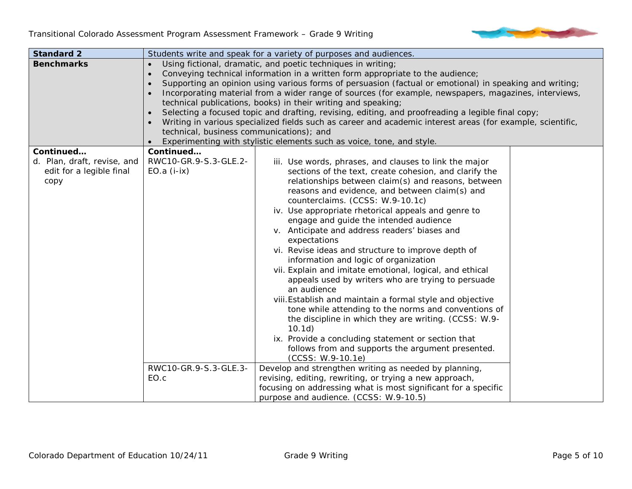

| <b>Standard 2</b>                                                            |                                                                                                                                                                                                                                                                                                                                                                                                                                                                                                                                                                                                                                                                                                                                                                                          | Students write and speak for a variety of purposes and audiences.                                                                                                                                                                                                                                                                                                                                                                                                                                                                                                                                                                                                                                                                                                                                                                                                                                                                                                  |  |
|------------------------------------------------------------------------------|------------------------------------------------------------------------------------------------------------------------------------------------------------------------------------------------------------------------------------------------------------------------------------------------------------------------------------------------------------------------------------------------------------------------------------------------------------------------------------------------------------------------------------------------------------------------------------------------------------------------------------------------------------------------------------------------------------------------------------------------------------------------------------------|--------------------------------------------------------------------------------------------------------------------------------------------------------------------------------------------------------------------------------------------------------------------------------------------------------------------------------------------------------------------------------------------------------------------------------------------------------------------------------------------------------------------------------------------------------------------------------------------------------------------------------------------------------------------------------------------------------------------------------------------------------------------------------------------------------------------------------------------------------------------------------------------------------------------------------------------------------------------|--|
| <b>Benchmarks</b>                                                            | Using fictional, dramatic, and poetic techniques in writing;<br>Conveying technical information in a written form appropriate to the audience;<br>$\bullet$<br>Supporting an opinion using various forms of persuasion (factual or emotional) in speaking and writing;<br>Incorporating material from a wider range of sources (for example, newspapers, magazines, interviews,<br>technical publications, books) in their writing and speaking;<br>Selecting a focused topic and drafting, revising, editing, and proofreading a legible final copy;<br>Writing in various specialized fields such as career and academic interest areas (for example, scientific,<br>technical, business communications); and<br>Experimenting with stylistic elements such as voice, tone, and style. |                                                                                                                                                                                                                                                                                                                                                                                                                                                                                                                                                                                                                                                                                                                                                                                                                                                                                                                                                                    |  |
| Continued<br>d. Plan, draft, revise, and<br>edit for a legible final<br>copy | Continued<br>RWC10-GR.9-S.3-GLE.2-<br>$EO.a (i-ix)$                                                                                                                                                                                                                                                                                                                                                                                                                                                                                                                                                                                                                                                                                                                                      | iii. Use words, phrases, and clauses to link the major<br>sections of the text, create cohesion, and clarify the<br>relationships between claim(s) and reasons, between<br>reasons and evidence, and between claim(s) and<br>counterclaims. (CCSS: W.9-10.1c)<br>iv. Use appropriate rhetorical appeals and genre to<br>engage and guide the intended audience<br>v. Anticipate and address readers' biases and<br>expectations<br>vi. Revise ideas and structure to improve depth of<br>information and logic of organization<br>vii. Explain and imitate emotional, logical, and ethical<br>appeals used by writers who are trying to persuade<br>an audience<br>viii. Establish and maintain a formal style and objective<br>tone while attending to the norms and conventions of<br>the discipline in which they are writing. (CCSS: W.9-<br>10.1d)<br>ix. Provide a concluding statement or section that<br>follows from and supports the argument presented. |  |
|                                                                              | RWC10-GR.9-S.3-GLE.3-<br>EO.c                                                                                                                                                                                                                                                                                                                                                                                                                                                                                                                                                                                                                                                                                                                                                            | (CCSS: W.9-10.1e)<br>Develop and strengthen writing as needed by planning,<br>revising, editing, rewriting, or trying a new approach,<br>focusing on addressing what is most significant for a specific<br>purpose and audience. (CCSS: W.9-10.5)                                                                                                                                                                                                                                                                                                                                                                                                                                                                                                                                                                                                                                                                                                                  |  |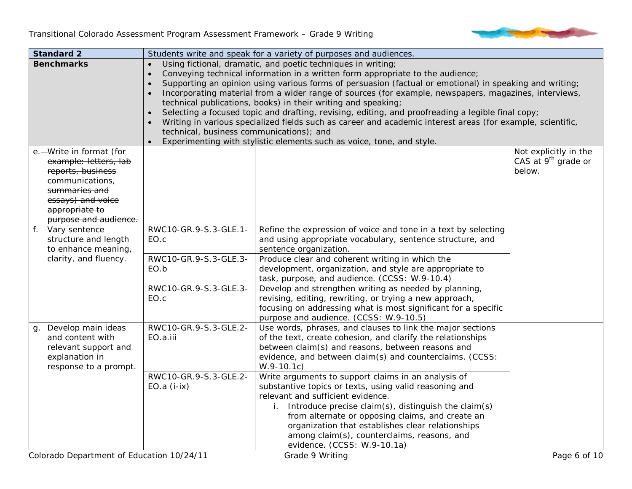

| <b>Standard 2</b> |                         |                                                                                | Students write and speak for a variety of purposes and audiences.                                          |                                 |
|-------------------|-------------------------|--------------------------------------------------------------------------------|------------------------------------------------------------------------------------------------------------|---------------------------------|
|                   | <b>Benchmarks</b>       |                                                                                | Using fictional, dramatic, and poetic techniques in writing;                                               |                                 |
|                   |                         | Conveying technical information in a written form appropriate to the audience; |                                                                                                            |                                 |
|                   |                         |                                                                                | Supporting an opinion using various forms of persuasion (factual or emotional) in speaking and writing;    |                                 |
|                   |                         |                                                                                | Incorporating material from a wider range of sources (for example, newspapers, magazines, interviews,      |                                 |
|                   |                         |                                                                                | technical publications, books) in their writing and speaking;                                              |                                 |
|                   |                         | $\bullet$                                                                      | Selecting a focused topic and drafting, revising, editing, and proofreading a legible final copy;          |                                 |
|                   |                         |                                                                                | Writing in various specialized fields such as career and academic interest areas (for example, scientific, |                                 |
|                   |                         | technical, business communications); and                                       |                                                                                                            |                                 |
|                   |                         |                                                                                | Experimenting with stylistic elements such as voice, tone, and style.                                      |                                 |
|                   | e. Write in format (for |                                                                                |                                                                                                            | Not explicitly in the           |
|                   | example: letters, lab   |                                                                                |                                                                                                            | CAS at 9 <sup>th</sup> grade or |
|                   | reports, business       |                                                                                |                                                                                                            | below.                          |
|                   | communications,         |                                                                                |                                                                                                            |                                 |
|                   | summaries and           |                                                                                |                                                                                                            |                                 |
|                   | essays) and voice       |                                                                                |                                                                                                            |                                 |
|                   | appropriate to          |                                                                                |                                                                                                            |                                 |
|                   | purpose and audience.   |                                                                                |                                                                                                            |                                 |
|                   | f. Vary sentence        | RWC10-GR.9-S.3-GLE.1-                                                          | Refine the expression of voice and tone in a text by selecting                                             |                                 |
|                   | structure and length    | EO.c                                                                           | and using appropriate vocabulary, sentence structure, and                                                  |                                 |
|                   | to enhance meaning,     |                                                                                | sentence organization.                                                                                     |                                 |
|                   | clarity, and fluency.   | RWC10-GR.9-S.3-GLE.3-                                                          | Produce clear and coherent writing in which the                                                            |                                 |
|                   |                         | EO.b                                                                           | development, organization, and style are appropriate to                                                    |                                 |
|                   |                         |                                                                                | task, purpose, and audience. (CCSS: W.9-10.4)                                                              |                                 |
|                   |                         | RWC10-GR.9-S.3-GLE.3-                                                          | Develop and strengthen writing as needed by planning,                                                      |                                 |
|                   |                         | EO.c                                                                           | revising, editing, rewriting, or trying a new approach,                                                    |                                 |
|                   |                         |                                                                                | focusing on addressing what is most significant for a specific                                             |                                 |
|                   |                         |                                                                                | purpose and audience. (CCSS: W.9-10.5)                                                                     |                                 |
| g.                | Develop main ideas      | RWC10-GR.9-S.3-GLE.2-                                                          | Use words, phrases, and clauses to link the major sections                                                 |                                 |
|                   | and content with        | EO.a.iii                                                                       | of the text, create cohesion, and clarify the relationships                                                |                                 |
|                   | relevant support and    |                                                                                | between claim(s) and reasons, between reasons and                                                          |                                 |
|                   | explanation in          |                                                                                | evidence, and between claim(s) and counterclaims. (CCSS:                                                   |                                 |
|                   | response to a prompt.   |                                                                                | $W.9-10.1c)$                                                                                               |                                 |
|                   |                         | RWC10-GR.9-S.3-GLE.2-                                                          | Write arguments to support claims in an analysis of                                                        |                                 |
|                   |                         | $EO.a (i-ix)$                                                                  | substantive topics or texts, using valid reasoning and                                                     |                                 |
|                   |                         |                                                                                | relevant and sufficient evidence.                                                                          |                                 |
|                   |                         |                                                                                | i. Introduce precise claim(s), distinguish the claim(s)                                                    |                                 |
|                   |                         |                                                                                | from alternate or opposing claims, and create an                                                           |                                 |
|                   |                         |                                                                                | organization that establishes clear relationships                                                          |                                 |
|                   |                         |                                                                                | among claim(s), counterclaims, reasons, and                                                                |                                 |
|                   |                         |                                                                                | evidence. (CCSS: W.9-10.1a)                                                                                |                                 |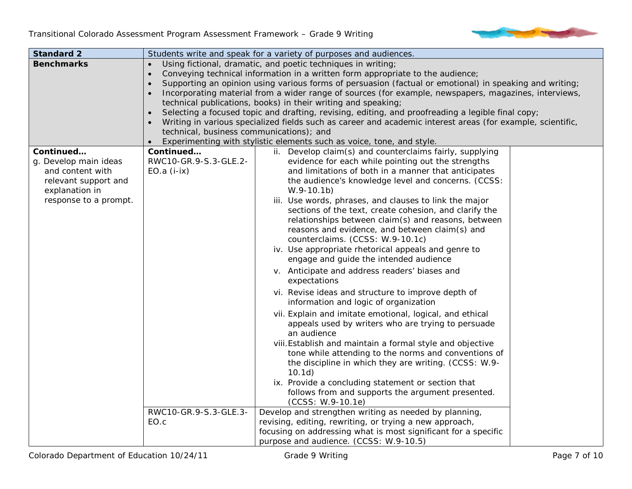

| <b>Standard 2</b>                                                                                                         | Students write and speak for a variety of purposes and audiences.                                                                                                                                                                                                                                                                                                                                                                                                                                                                                                                                                                                                                                                                                                                        |                                                                                                                                                                                                                                                                                                                                                                                                                                                                                                                                                                                                                                                                                                                                                                                                                                                                                                                                                                                                                                                                                                                                                                                                                                          |  |
|---------------------------------------------------------------------------------------------------------------------------|------------------------------------------------------------------------------------------------------------------------------------------------------------------------------------------------------------------------------------------------------------------------------------------------------------------------------------------------------------------------------------------------------------------------------------------------------------------------------------------------------------------------------------------------------------------------------------------------------------------------------------------------------------------------------------------------------------------------------------------------------------------------------------------|------------------------------------------------------------------------------------------------------------------------------------------------------------------------------------------------------------------------------------------------------------------------------------------------------------------------------------------------------------------------------------------------------------------------------------------------------------------------------------------------------------------------------------------------------------------------------------------------------------------------------------------------------------------------------------------------------------------------------------------------------------------------------------------------------------------------------------------------------------------------------------------------------------------------------------------------------------------------------------------------------------------------------------------------------------------------------------------------------------------------------------------------------------------------------------------------------------------------------------------|--|
| <b>Benchmarks</b>                                                                                                         | Using fictional, dramatic, and poetic techniques in writing;<br>Conveying technical information in a written form appropriate to the audience;<br>Supporting an opinion using various forms of persuasion (factual or emotional) in speaking and writing;<br>Incorporating material from a wider range of sources (for example, newspapers, magazines, interviews,<br>technical publications, books) in their writing and speaking;<br>Selecting a focused topic and drafting, revising, editing, and proofreading a legible final copy;<br>$\bullet$<br>Writing in various specialized fields such as career and academic interest areas (for example, scientific,<br>technical, business communications); and<br>Experimenting with stylistic elements such as voice, tone, and style. |                                                                                                                                                                                                                                                                                                                                                                                                                                                                                                                                                                                                                                                                                                                                                                                                                                                                                                                                                                                                                                                                                                                                                                                                                                          |  |
| Continued<br>g. Develop main ideas<br>and content with<br>relevant support and<br>explanation in<br>response to a prompt. | Continued<br>RWC10-GR.9-S.3-GLE.2-<br>$EO.a (i-ix)$                                                                                                                                                                                                                                                                                                                                                                                                                                                                                                                                                                                                                                                                                                                                      | ii. Develop claim(s) and counterclaims fairly, supplying<br>evidence for each while pointing out the strengths<br>and limitations of both in a manner that anticipates<br>the audience's knowledge level and concerns. (CCSS:<br>$W.9-10.1b)$<br>iii. Use words, phrases, and clauses to link the major<br>sections of the text, create cohesion, and clarify the<br>relationships between claim(s) and reasons, between<br>reasons and evidence, and between claim(s) and<br>counterclaims. (CCSS: W.9-10.1c)<br>iv. Use appropriate rhetorical appeals and genre to<br>engage and guide the intended audience<br>v. Anticipate and address readers' biases and<br>expectations<br>vi. Revise ideas and structure to improve depth of<br>information and logic of organization<br>vii. Explain and imitate emotional, logical, and ethical<br>appeals used by writers who are trying to persuade<br>an audience<br>viii. Establish and maintain a formal style and objective<br>tone while attending to the norms and conventions of<br>the discipline in which they are writing. (CCSS: W.9-<br>10.1d)<br>ix. Provide a concluding statement or section that<br>follows from and supports the argument presented.<br>(CCSS: W.9-10.1e) |  |
|                                                                                                                           | RWC10-GR.9-S.3-GLE.3-<br>EO.c                                                                                                                                                                                                                                                                                                                                                                                                                                                                                                                                                                                                                                                                                                                                                            | Develop and strengthen writing as needed by planning,<br>revising, editing, rewriting, or trying a new approach,<br>focusing on addressing what is most significant for a specific<br>purpose and audience. (CCSS: W.9-10.5)                                                                                                                                                                                                                                                                                                                                                                                                                                                                                                                                                                                                                                                                                                                                                                                                                                                                                                                                                                                                             |  |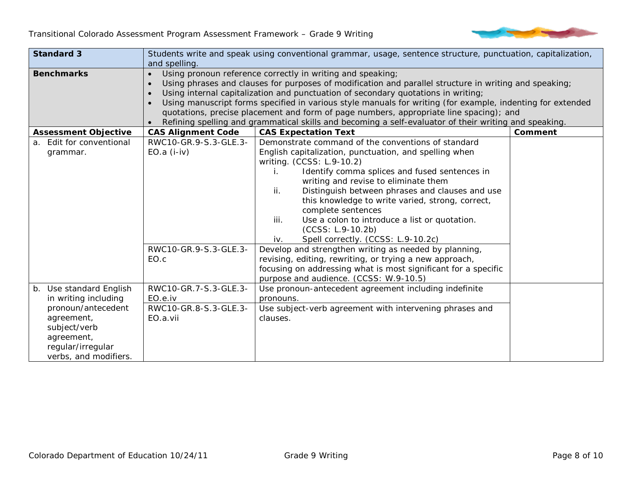

| <b>Standard 3</b>           | Students write and speak using conventional grammar, usage, sentence structure, punctuation, capitalization, |                                                                                                            |         |  |
|-----------------------------|--------------------------------------------------------------------------------------------------------------|------------------------------------------------------------------------------------------------------------|---------|--|
|                             | and spelling.                                                                                                |                                                                                                            |         |  |
| <b>Benchmarks</b>           |                                                                                                              | Using pronoun reference correctly in writing and speaking;                                                 |         |  |
|                             |                                                                                                              | Using phrases and clauses for purposes of modification and parallel structure in writing and speaking;     |         |  |
|                             |                                                                                                              | Using internal capitalization and punctuation of secondary quotations in writing;                          |         |  |
|                             |                                                                                                              | Using manuscript forms specified in various style manuals for writing (for example, indenting for extended |         |  |
|                             |                                                                                                              | quotations, precise placement and form of page numbers, appropriate line spacing); and                     |         |  |
|                             |                                                                                                              | Refining spelling and grammatical skills and becoming a self-evaluator of their writing and speaking.      |         |  |
| <b>Assessment Objective</b> | <b>CAS Alignment Code</b>                                                                                    | <b>CAS Expectation Text</b>                                                                                | Comment |  |
| a. Edit for conventional    | RWC10-GR.9-S.3-GLE.3-                                                                                        | Demonstrate command of the conventions of standard                                                         |         |  |
| grammar.                    | $EO.a (i-iv)$                                                                                                | English capitalization, punctuation, and spelling when                                                     |         |  |
|                             |                                                                                                              | writing. (CCSS: L.9-10.2)                                                                                  |         |  |
|                             |                                                                                                              | Identify comma splices and fused sentences in<br>i.                                                        |         |  |
|                             |                                                                                                              | writing and revise to eliminate them                                                                       |         |  |
|                             |                                                                                                              | Distinguish between phrases and clauses and use<br>ii.                                                     |         |  |
|                             |                                                                                                              | this knowledge to write varied, strong, correct,                                                           |         |  |
|                             |                                                                                                              | complete sentences                                                                                         |         |  |
|                             |                                                                                                              | Use a colon to introduce a list or quotation.<br>iii.                                                      |         |  |
|                             |                                                                                                              | (CCSS: L.9-10.2b)                                                                                          |         |  |
|                             |                                                                                                              | Spell correctly. (CCSS: L.9-10.2c)<br>iv.                                                                  |         |  |
|                             | RWC10-GR.9-S.3-GLE.3-                                                                                        | Develop and strengthen writing as needed by planning,                                                      |         |  |
|                             | EO.c                                                                                                         | revising, editing, rewriting, or trying a new approach,                                                    |         |  |
|                             |                                                                                                              | focusing on addressing what is most significant for a specific                                             |         |  |
|                             |                                                                                                              | purpose and audience. (CCSS: W.9-10.5)                                                                     |         |  |
| b. Use standard English     | RWC10-GR.7-S.3-GLE.3-                                                                                        | Use pronoun-antecedent agreement including indefinite                                                      |         |  |
| in writing including        | EO.e.iv                                                                                                      | pronouns.                                                                                                  |         |  |
| pronoun/antecedent          | RWC10-GR.8-S.3-GLE.3-                                                                                        | Use subject-verb agreement with intervening phrases and                                                    |         |  |
| agreement,                  | EO.a.vii                                                                                                     | clauses.                                                                                                   |         |  |
| subject/verb                |                                                                                                              |                                                                                                            |         |  |
| agreement,                  |                                                                                                              |                                                                                                            |         |  |
| regular/irregular           |                                                                                                              |                                                                                                            |         |  |
| verbs, and modifiers.       |                                                                                                              |                                                                                                            |         |  |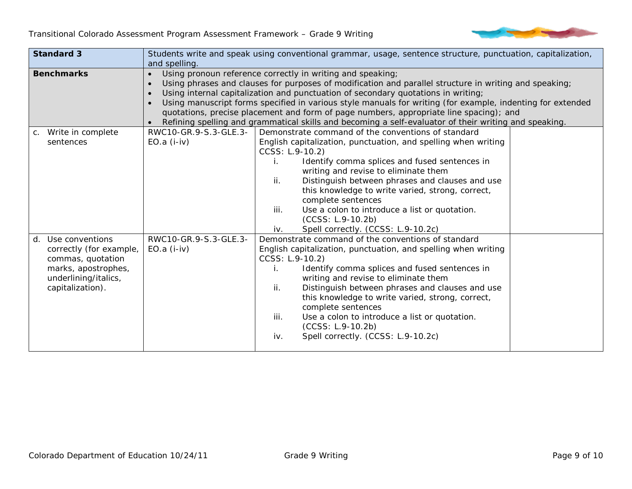

| <b>Standard 3</b>       |                                                            | Students write and speak using conventional grammar, usage, sentence structure, punctuation, capitalization, |  |  |
|-------------------------|------------------------------------------------------------|--------------------------------------------------------------------------------------------------------------|--|--|
|                         | and spelling.                                              |                                                                                                              |  |  |
| <b>Benchmarks</b>       | Using pronoun reference correctly in writing and speaking; |                                                                                                              |  |  |
|                         |                                                            | Using phrases and clauses for purposes of modification and parallel structure in writing and speaking;       |  |  |
|                         |                                                            | Using internal capitalization and punctuation of secondary quotations in writing;                            |  |  |
|                         |                                                            | Using manuscript forms specified in various style manuals for writing (for example, indenting for extended   |  |  |
|                         |                                                            | quotations, precise placement and form of page numbers, appropriate line spacing); and                       |  |  |
|                         |                                                            | Refining spelling and grammatical skills and becoming a self-evaluator of their writing and speaking.        |  |  |
| c. Write in complete    | RWC10-GR.9-S.3-GLE.3-                                      | Demonstrate command of the conventions of standard                                                           |  |  |
| sentences               | $EO.a (i-iv)$                                              | English capitalization, punctuation, and spelling when writing                                               |  |  |
|                         |                                                            | CCSS: L.9-10.2)                                                                                              |  |  |
|                         |                                                            | Identify comma splices and fused sentences in<br>i.                                                          |  |  |
|                         |                                                            | writing and revise to eliminate them                                                                         |  |  |
|                         |                                                            | ii.<br>Distinguish between phrases and clauses and use                                                       |  |  |
|                         |                                                            | this knowledge to write varied, strong, correct,                                                             |  |  |
|                         |                                                            | complete sentences                                                                                           |  |  |
|                         |                                                            | Use a colon to introduce a list or quotation.<br>iii.                                                        |  |  |
|                         |                                                            | (CCSS: L.9-10.2b)                                                                                            |  |  |
|                         |                                                            | Spell correctly. (CCSS: L.9-10.2c)<br>iv.                                                                    |  |  |
| d. Use conventions      | RWC10-GR.9-S.3-GLE.3-                                      | Demonstrate command of the conventions of standard                                                           |  |  |
| correctly (for example, | $EO.a (i-iv)$                                              | English capitalization, punctuation, and spelling when writing                                               |  |  |
| commas, quotation       |                                                            | CCSS: L.9-10.2)                                                                                              |  |  |
| marks, apostrophes,     |                                                            | Identify comma splices and fused sentences in                                                                |  |  |
| underlining/italics,    |                                                            | writing and revise to eliminate them                                                                         |  |  |
| capitalization).        |                                                            | Distinguish between phrases and clauses and use<br>ii.                                                       |  |  |
|                         |                                                            | this knowledge to write varied, strong, correct,                                                             |  |  |
|                         |                                                            | complete sentences                                                                                           |  |  |
|                         |                                                            | Use a colon to introduce a list or quotation.<br>iii.                                                        |  |  |
|                         |                                                            | (CCSS: L.9-10.2b)                                                                                            |  |  |
|                         |                                                            | Spell correctly. (CCSS: L.9-10.2c)<br>iv.                                                                    |  |  |
|                         |                                                            |                                                                                                              |  |  |